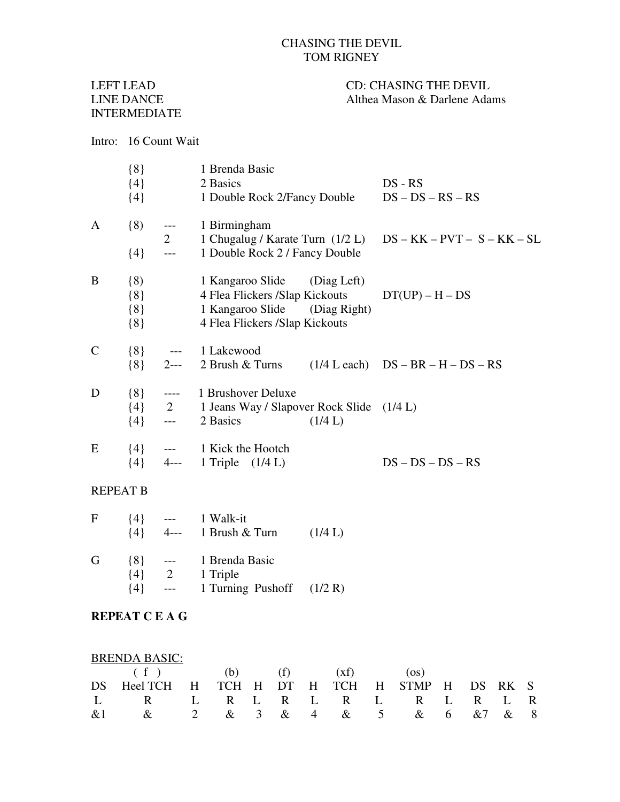## CHASING THE DEVIL TOM RIGNEY

# INTERMEDIATE

### LEFT LEAD CD: CHASING THE DEVIL<br>LINE DANCE Althea Mason & Darlene Ada Althea Mason & Darlene Adams

#### Intro: 16 Count Wait

|               | ${8}$<br>${4}$<br>${4}$              |                                                                                                                                                                                                                                                                                                                                                                                                                                                                                             | 1 Brenda Basic<br>2 Basics<br>1 Double Rock 2/Fancy Double                                                                        | $DS - RS$<br>$DS - DS - RS - RS$               |
|---------------|--------------------------------------|---------------------------------------------------------------------------------------------------------------------------------------------------------------------------------------------------------------------------------------------------------------------------------------------------------------------------------------------------------------------------------------------------------------------------------------------------------------------------------------------|-----------------------------------------------------------------------------------------------------------------------------------|------------------------------------------------|
| $\mathbf{A}$  | (8)<br>${4}$                         | $\scriptstyle{\cdots}$ .<br>$\overline{2}$<br>$\overline{\phantom{a}}$                                                                                                                                                                                                                                                                                                                                                                                                                      | 1 Birmingham<br>1 Chugalug / Karate Turn $(1/2 L)$ DS – KK – PVT – S – KK – SL<br>1 Double Rock 2 / Fancy Double                  |                                                |
| B             | $\{8\}$<br>${8}$<br>$\{8\}$<br>${8}$ |                                                                                                                                                                                                                                                                                                                                                                                                                                                                                             | 1 Kangaroo Slide (Diag Left)<br>4 Flea Flickers /Slap Kickouts<br>1 Kangaroo Slide (Diag Right)<br>4 Flea Flickers /Slap Kickouts | $DT(UP) - H - DS$                              |
| $\mathcal{C}$ | ${8}$                                |                                                                                                                                                                                                                                                                                                                                                                                                                                                                                             | $\{8\}$ --- 1 Lakewood<br>$2--$ 2 Brush & Turns                                                                                   | $(1/4 \text{ L each})$ $DS - BR - H - DS - RS$ |
| D             | ${8}$<br>$\{4\}$                     | $\frac{1}{2}$<br>$\frac{1}{2} \left( \frac{1}{2} \right) \left( \frac{1}{2} \right) \left( \frac{1}{2} \right) \left( \frac{1}{2} \right) \left( \frac{1}{2} \right) \left( \frac{1}{2} \right) \left( \frac{1}{2} \right) \left( \frac{1}{2} \right) \left( \frac{1}{2} \right) \left( \frac{1}{2} \right) \left( \frac{1}{2} \right) \left( \frac{1}{2} \right) \left( \frac{1}{2} \right) \left( \frac{1}{2} \right) \left( \frac{1}{2} \right) \left( \frac{1}{2} \right) \left( \frac$ | 1 Brushover Deluxe<br>{4} 2 1 Jeans Way / Slapover Rock Slide (1/4 L)<br>2 Basics<br>(1/4 L)                                      |                                                |
| E             | ${4}$                                |                                                                                                                                                                                                                                                                                                                                                                                                                                                                                             | --- 1 Kick the Hootch<br>$\{4\}$ 4--- 1 Triple $(1/4 \text{ L})$                                                                  | $DS - DS - DS - RS$                            |

#### REPEAT B

| F | ${4}$<br>${4}$              |                     | 1 Walk-it<br>$4--$ 1 Brush $&$ Turn                       | (1/4 L) |
|---|-----------------------------|---------------------|-----------------------------------------------------------|---------|
| G | ${8}$<br>$\{4\}$<br>$\{4\}$ | $---$<br>2<br>$---$ | 1 Brenda Basic<br>1 Triple<br>1 Turning Pushoff $(1/2 R)$ |         |

#### **REPEAT C E A G**

| <b>BRENDA BASIC:</b>                          |  |  |  |  |  |  |
|-----------------------------------------------|--|--|--|--|--|--|
| $(f)$ (b) (f) $(xf)$ (os)                     |  |  |  |  |  |  |
| DS Heel TCH H TCH H DT H TCH H STMP H DS RK S |  |  |  |  |  |  |
| L R L R L R L R L R L R L R                   |  |  |  |  |  |  |
| &1 & 2 & 3 & 4 & 5 & 6 &7 & 8                 |  |  |  |  |  |  |